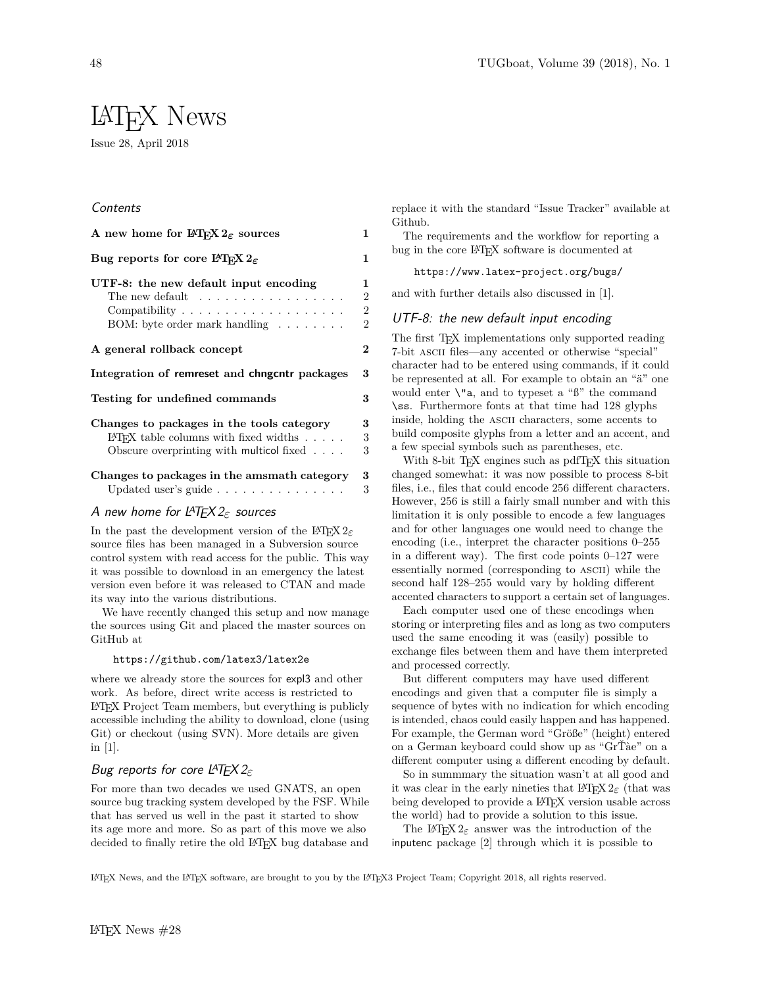# LATEX News

Issue 28, April 2018

# **Contents**

| A new home for $\operatorname{IFTF} X2_{\varepsilon}$ sources                                                                                                 | $\mathbf{1}$                               |
|---------------------------------------------------------------------------------------------------------------------------------------------------------------|--------------------------------------------|
| Bug reports for core IATFX $2_{\varepsilon}$                                                                                                                  | 1                                          |
| UTF-8: the new default input encoding<br>The new default $\dots \dots \dots \dots \dots \dots$<br>BOM: byte order mark handling $\dots \dots$                 | 1<br>$\overline{2}$<br>$\overline{2}$<br>2 |
| A general rollback concept                                                                                                                                    | $\overline{2}$                             |
| Integration of remreset and chngcntr packages                                                                                                                 | 3                                          |
| Testing for undefined commands                                                                                                                                | 3                                          |
| Changes to packages in the tools category<br>$\Delta F$ <sub>F</sub> X table columns with fixed widths<br>Obscure overprinting with multicol fixed $\ldots$ . | 3<br>3<br>3                                |
| Changes to packages in the amsmath category<br>Updated user's guide $\ldots$                                                                                  | 3<br>3                                     |

## A new home for LATEX 2*ε* sources

In the past the development version of the L<sup>AT</sup>EX 2<sup>*ε*</sup> source files has been managed in a Subversion source control system with read access for the public. This way it was possible to download in an emergency the latest version even before it was released to CTAN and made its way into the various distributions.

We have recently changed this setup and now manage the sources using Git and placed the master sources on GitHub at

#### https://github.com/latex3/latex2e

where we already store the sources for expl3 and other work. As before, direct write access is restricted to LATEX Project Team members, but everything is publicly accessible including the ability to download, clone (using Git) or checkout (using SVN). More details are given in [1].

## Bug reports for core LATEX 2*ε*

For more than two decades we used GNATS, an open source bug tracking system developed by the FSF. While that has served us well in the past it started to show its age more and more. So as part of this move we also decided to finally retire the old LATEX bug database and replace it with the standard "Issue Tracker" available at Github.

The requirements and the workflow for reporting a bug in the core LATEX software is documented at

https://www.latex-project.org/bugs/

and with further details also discussed in [1].

#### UTF-8: the new default input encoding

The first T<sub>EX</sub> implementations only supported reading 7-bit ascii files—any accented or otherwise "special" character had to be entered using commands, if it could be represented at all. For example to obtain an "ä" one would enter  $\mathcal{N}^n$  a, and to typeset a " $\mathcal{B}$ " the command \ss. Furthermore fonts at that time had 128 glyphs inside, holding the ascii characters, some accents to build composite glyphs from a letter and an accent, and a few special symbols such as parentheses, etc.

With 8-bit T<sub>EX</sub> engines such as pdfT<sub>EX</sub> this situation changed somewhat: it was now possible to process 8-bit files, i.e., files that could encode 256 different characters. However, 256 is still a fairly small number and with this limitation it is only possible to encode a few languages and for other languages one would need to change the encoding (i.e., interpret the character positions 0–255 in a different way). The first code points 0–127 were essentially normed (corresponding to ascii) while the second half 128–255 would vary by holding different accented characters to support a certain set of languages.

Each computer used one of these encodings when storing or interpreting files and as long as two computers used the same encoding it was (easily) possible to exchange files between them and have them interpreted and processed correctly.

But different computers may have used different encodings and given that a computer file is simply a sequence of bytes with no indication for which encoding is intended, chaos could easily happen and has happened. For example, the German word "Größe" (height) entered on a German keyboard could show up as "GrŤàe" on a different computer using a different encoding by default.

So in summmary the situation wasn't at all good and it was clear in the early nineties that  $\text{LATEX } 2\varepsilon$  (that was being developed to provide a L<sup>A</sup>T<sub>E</sub>X version usable across the world) had to provide a solution to this issue.

The L<sup>AT</sup>EX 2<sub>*ε*</sub> answer was the introduction of the inputenc package [2] through which it is possible to

LATEX News, and the LATEX software, are brought to you by the LATEX3 Project Team; Copyright 2018, all rights reserved.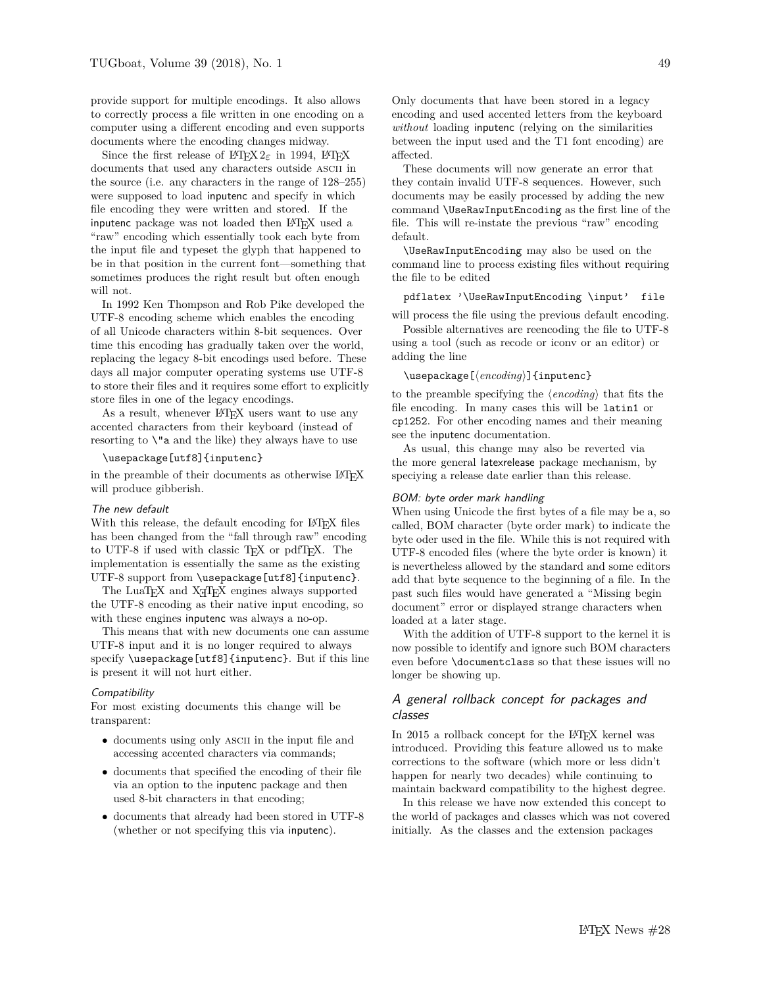provide support for multiple encodings. It also allows to correctly process a file written in one encoding on a computer using a different encoding and even supports documents where the encoding changes midway.

Since the first release of  $\text{LATEX } 2\varepsilon$  in 1994,  $\text{LATEX }$ documents that used any characters outside ASCII in the source (i.e. any characters in the range of 128–255) were supposed to load inputenc and specify in which file encoding they were written and stored. If the inputenc package was not loaded then LAT<sub>EX</sub> used a "raw" encoding which essentially took each byte from the input file and typeset the glyph that happened to be in that position in the current font—something that sometimes produces the right result but often enough will not.

In 1992 Ken Thompson and Rob Pike developed the UTF-8 encoding scheme which enables the encoding of all Unicode characters within 8-bit sequences. Over time this encoding has gradually taken over the world, replacing the legacy 8-bit encodings used before. These days all major computer operating systems use UTF-8 to store their files and it requires some effort to explicitly store files in one of the legacy encodings.

As a result, whenever L<sup>AT</sup>EX users want to use any accented characters from their keyboard (instead of resorting to  $\iota$  and the like) they always have to use

## \usepackage[utf8]{inputenc}

in the preamble of their documents as otherwise LATEX will produce gibberish.

#### The new default

With this release, the default encoding for LATEX files has been changed from the "fall through raw" encoding to UTF-8 if used with classic T<sub>E</sub>X or pdfT<sub>E</sub>X. The implementation is essentially the same as the existing UTF-8 support from \usepackage[utf8]{inputenc}.

The LuaT<sub>E</sub>X and X<sub>T</sub>T<sub>E</sub>X engines always supported the UTF-8 encoding as their native input encoding, so with these engines inputenc was always a no-op.

This means that with new documents one can assume UTF-8 input and it is no longer required to always specify \usepackage[utf8]{inputenc}. But if this line is present it will not hurt either.

#### **Compatibility**

For most existing documents this change will be transparent:

- documents using only ASCII in the input file and accessing accented characters via commands;
- documents that specified the encoding of their file via an option to the inputenc package and then used 8-bit characters in that encoding;
- documents that already had been stored in UTF-8 (whether or not specifying this via inputenc).

Only documents that have been stored in a legacy encoding and used accented letters from the keyboard *without* loading inputenc (relying on the similarities between the input used and the T1 font encoding) are affected.

These documents will now generate an error that they contain invalid UTF-8 sequences. However, such documents may be easily processed by adding the new command \UseRawInputEncoding as the first line of the file. This will re-instate the previous "raw" encoding default.

\UseRawInputEncoding may also be used on the command line to process existing files without requiring the file to be edited

pdflatex '\UseRawInputEncoding \input' file

will process the file using the previous default encoding. Possible alternatives are reencoding the file to UTF-8 using a tool (such as recode or iconv or an editor) or

adding the line

## \usepackage[ $\langle encoding \rangle$ ]{inputenc}

to the preamble specifying the  $\langle encoding \rangle$  that fits the file encoding. In many cases this will be latin1 or cp1252. For other encoding names and their meaning see the inputenc documentation.

As usual, this change may also be reverted via the more general latexrelease package mechanism, by speciying a release date earlier than this release.

#### BOM: byte order mark handling

When using Unicode the first bytes of a file may be a, so called, BOM character (byte order mark) to indicate the byte oder used in the file. While this is not required with UTF-8 encoded files (where the byte order is known) it is nevertheless allowed by the standard and some editors add that byte sequence to the beginning of a file. In the past such files would have generated a "Missing begin document" error or displayed strange characters when loaded at a later stage.

With the addition of UTF-8 support to the kernel it is now possible to identify and ignore such BOM characters even before \documentclass so that these issues will no longer be showing up.

# A general rollback concept for packages and classes

In 2015 a rollback concept for the LATEX kernel was introduced. Providing this feature allowed us to make corrections to the software (which more or less didn't happen for nearly two decades) while continuing to maintain backward compatibility to the highest degree.

In this release we have now extended this concept to the world of packages and classes which was not covered initially. As the classes and the extension packages